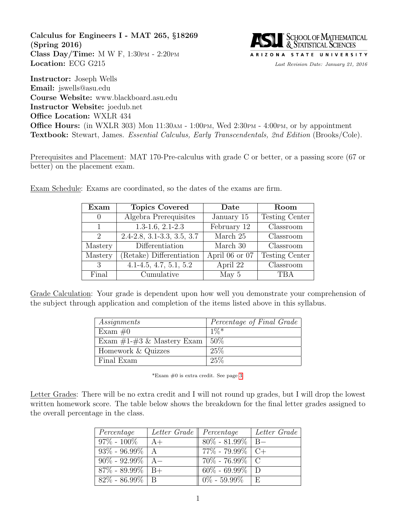<span id="page-0-0"></span>Calculus for Engineers I - MAT 265, §18269 (Spring 2016) Class Day/Time: M W F,  $1:30$ PM -  $2:20$ PM Location: ECG G215 Last Revision Date: January 21, 2016



Instructor: Joseph Wells Email: jswells@asu.edu Course Website: www.blackboard.asu.edu Instructor Website: joedub.net Office Location: WXLR 434 Office Hours: (in WXLR 303) Mon 11:30AM - 1:00PM, Wed 2:30PM - 4:00PM, or by appointment Textbook: Stewart, James. Essential Calculus, Early Transcendentals, 2nd Edition (Brooks/Cole).

Prerequisites and Placement: MAT 170-Pre-calculus with grade C or better, or a passing score (67 or better) on the placement exam.

Exam Schedule: Exams are coordinated, so the dates of the exams are firm.

| Exam                        | <b>Topics Covered</b>           | Date           | Room                  |
|-----------------------------|---------------------------------|----------------|-----------------------|
| $\left( \right)$            | Algebra Prerequisites           | January 15     | <b>Testing Center</b> |
| 1                           | $1.3-1.6$ , $2.1-2.3$           | February 12    | Classroom             |
| $\mathcal{D}_{\mathcal{L}}$ | $2.4 - 2.8$ , 3.1-3.3, 3.5, 3.7 | March 25       | Classroom             |
| Mastery                     | Differentiation                 | March 30       | Classroom             |
| Mastery                     | (Retake) Differentiation        | April 06 or 07 | <b>Testing Center</b> |
| 3                           | $4.1 - 4.5, 4.7, 5.1, 5.2$      | April 22       | Classroom             |
| Final                       | Cumulative                      | May 5          | <b>TBA</b>            |

Grade Calculation: Your grade is dependent upon how well you demonstrate your comprehension of the subject through application and completion of the items listed above in this syllabus.

| Assignments                   | Percentage of Final Grade |
|-------------------------------|---------------------------|
| Exam $\#0$                    | $1\%*$                    |
| Exam $\#1-\#3$ & Mastery Exam | $50\%$                    |
| Homework & Quizzes            | 25%                       |
| Final Exam                    | 25\%                      |

\*Exam  $#0$  is extra credit. See page [3.](#page-0-0)

Letter Grades: There will be no extra credit and I will not round up grades, but I will drop the lowest written homework score. The table below shows the breakdown for the final letter grades assigned to the overall percentage in the class.

| Percentage               | Letter Grade   Percentage |                                         | Letter Grade |
|--------------------------|---------------------------|-----------------------------------------|--------------|
| $97\% - 100\%$           | $A+$                      | $80\%$ - 81.99%   B-                    |              |
| $93\% - 96.99\%$   A     |                           | $\parallel$ 77% - 79.99% $\parallel$ C+ |              |
| $90\% - 92.99\%$   A     |                           | $70\%$ - 76.99% C                       |              |
| $87\% - 89.99\% \mid B+$ |                           | $60\%$ - 69.99% D                       |              |
| $82\% - 86.99\% \mid B$  |                           | $0\%$ - 59.99% E                        |              |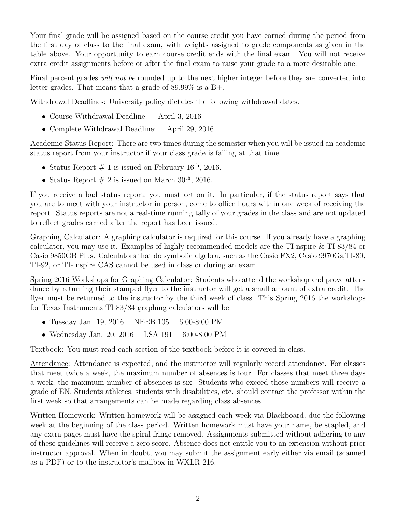Your final grade will be assigned based on the course credit you have earned during the period from the first day of class to the final exam, with weights assigned to grade components as given in the table above. Your opportunity to earn course credit ends with the final exam. You will not receive extra credit assignments before or after the final exam to raise your grade to a more desirable one.

Final percent grades will not be rounded up to the next higher integer before they are converted into letter grades. That means that a grade of 89.99% is a B+.

Withdrawal Deadlines: University policy dictates the following withdrawal dates.

- Course Withdrawal Deadline: April 3, 2016
- Complete Withdrawal Deadline: April 29, 2016

Academic Status Report: There are two times during the semester when you will be issued an academic status report from your instructor if your class grade is failing at that time.

- Status Report  $\#$  1 is issued on February 16<sup>th</sup>, 2016.
- Status Report  $\#$  2 is issued on March 30<sup>th</sup>, 2016.

If you receive a bad status report, you must act on it. In particular, if the status report says that you are to meet with your instructor in person, come to office hours within one week of receiving the report. Status reports are not a real-time running tally of your grades in the class and are not updated to reflect grades earned after the report has been issued.

Graphing Calculator: A graphing calculator is required for this course. If you already have a graphing calculator, you may use it. Examples of highly recommended models are the TI-nspire & TI 83/84 or Casio 9850GB Plus. Calculators that do symbolic algebra, such as the Casio FX2, Casio 9970Gs,TI-89, TI-92, or TI- nspire CAS cannot be used in class or during an exam.

Spring 2016 Workshops for Graphing Calculator: Students who attend the workshop and prove attendance by returning their stamped flyer to the instructor will get a small amount of extra credit. The flyer must be returned to the instructor by the third week of class. This Spring 2016 the workshops for Texas Instruments TI 83/84 graphing calculators will be

- Tuesday Jan. 19, 2016 NEEB 105 6:00-8:00 PM
- Wednesday Jan. 20, 2016 LSA 191 6:00-8:00 PM

Textbook: You must read each section of the textbook before it is covered in class.

Attendance: Attendance is expected, and the instructor will regularly record attendance. For classes that meet twice a week, the maximum number of absences is four. For classes that meet three days a week, the maximum number of absences is six. Students who exceed those numbers will receive a grade of EN. Students athletes, students with disabilities, etc. should contact the professor within the first week so that arrangements can be made regarding class absences.

Written Homework: Written homework will be assigned each week via Blackboard, due the following week at the beginning of the class period. Written homework must have your name, be stapled, and any extra pages must have the spiral fringe removed. Assignments submitted without adhering to any of these guidelines will receive a zero score. Absence does not entitle you to an extension without prior instructor approval. When in doubt, you may submit the assignment early either via email (scanned as a PDF) or to the instructor's mailbox in WXLR 216.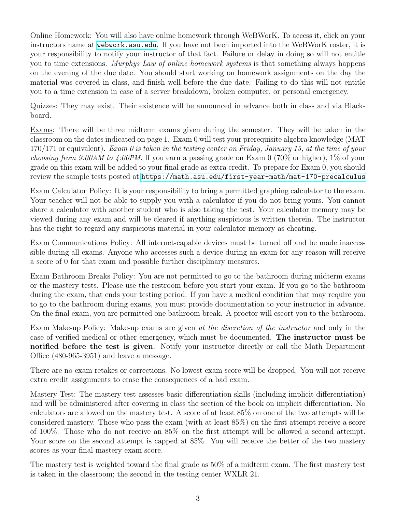Online Homework: You will also have online homework through WeBWorK. To access it, click on your instructors name at <webwork.asu.edu>. If you have not been imported into the WeBWorK roster, it is your responsibility to notify your instructor of that fact. Failure or delay in doing so will not entitle you to time extensions. Murphys Law of online homework systems is that something always happens on the evening of the due date. You should start working on homework assignments on the day the material was covered in class, and finish well before the due date. Failing to do this will not entitle you to a time extension in case of a server breakdown, broken computer, or personal emergency.

Quizzes: They may exist. Their existence will be announced in advance both in class and via Blackboard.

Exams: There will be three midterm exams given during the semester. They will be taken in the classroom on the dates indicated on page 1. Exam 0 will test your prerequisite algebra knowledge (MAT  $170/171$  or equivalent). Exam 0 is taken in the testing center on Friday, January 15, at the time of your *choosing from 9:00AM to 4:00PM.* If you earn a passing grade on Exam 0 (70% or higher), 1% of your grade on this exam will be added to your final grade as extra credit. To prepare for Exam 0, you should review the sample tests posted at <https://math.asu.edu/first-year-math/mat-170-precalculus>

Exam Calculator Policy: It is your responsibility to bring a permitted graphing calculator to the exam. Your teacher will not be able to supply you with a calculator if you do not bring yours. You cannot share a calculator with another student who is also taking the test. Your calculator memory may be viewed during any exam and will be cleared if anything suspicious is written therein. The instructor has the right to regard any suspicious material in your calculator memory as cheating.

Exam Communications Policy: All internet-capable devices must be turned off and be made inaccessible during all exams. Anyone who accesses such a device during an exam for any reason will receive a score of 0 for that exam and possible further disciplinary measures.

Exam Bathroom Breaks Policy: You are not permitted to go to the bathroom during midterm exams or the mastery tests. Please use the restroom before you start your exam. If you go to the bathroom during the exam, that ends your testing period. If you have a medical condition that may require you to go to the bathroom during exams, you must provide documentation to your instructor in advance. On the final exam, you are permitted one bathroom break. A proctor will escort you to the bathroom.

Exam Make-up Policy: Make-up exams are given at the discretion of the instructor and only in the case of verified medical or other emergency, which must be documented. The instructor must be notified before the test is given. Notify your instructor directly or call the Math Department Office (480-965-3951) and leave a message.

There are no exam retakes or corrections. No lowest exam score will be dropped. You will not receive extra credit assignments to erase the consequences of a bad exam.

Mastery Test: The mastery test assesses basic differentiation skills (including implicit differentiation) and will be administered after covering in class the section of the book on implicit differentiation. No calculators are allowed on the mastery test. A score of at least 85% on one of the two attempts will be considered mastery. Those who pass the exam (with at least 85%) on the first attempt receive a score of 100%. Those who do not receive an 85% on the first attempt will be allowed a second attempt. Your score on the second attempt is capped at 85%. You will receive the better of the two mastery scores as your final mastery exam score.

The mastery test is weighted toward the final grade as 50% of a midterm exam. The first mastery test is taken in the classroom; the second in the testing center WXLR 21.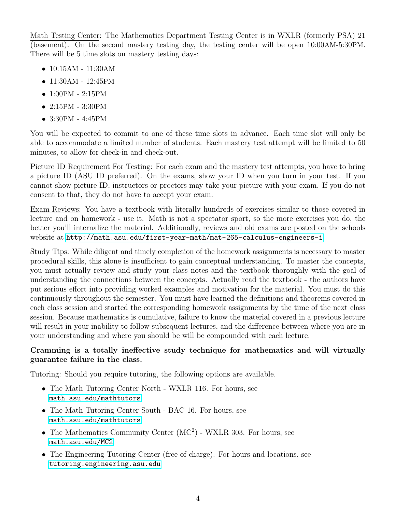Math Testing Center: The Mathematics Department Testing Center is in WXLR (formerly PSA) 21 (basement). On the second mastery testing day, the testing center will be open 10:00AM-5:30PM. There will be 5 time slots on mastery testing days:

- 10:15AM 11:30AM
- 11:30AM 12:45PM
- 1:00PM 2:15PM
- 2:15PM 3:30PM
- 3:30PM 4:45PM

You will be expected to commit to one of these time slots in advance. Each time slot will only be able to accommodate a limited number of students. Each mastery test attempt will be limited to 50 minutes, to allow for check-in and check-out.

Picture ID Requirement For Testing: For each exam and the mastery test attempts, you have to bring a picture ID (ASU ID preferred). On the exams, show your ID when you turn in your test. If you cannot show picture ID, instructors or proctors may take your picture with your exam. If you do not consent to that, they do not have to accept your exam.

Exam Reviews: You have a textbook with literally hundreds of exercises similar to those covered in lecture and on homework - use it. Math is not a spectator sport, so the more exercises you do, the better you'll internalize the material. Additionally, reviews and old exams are posted on the schools website at <http://math.asu.edu/first-year-math/mat-265-calculus-engineers-i>

Study Tips: While diligent and timely completion of the homework assignments is necessary to master procedural skills, this alone is insufficient to gain conceptual understanding. To master the concepts, you must actually review and study your class notes and the textbook thoroughly with the goal of understanding the connections between the concepts. Actually read the textbook - the authors have put serious effort into providing worked examples and motivation for the material. You must do this continuously throughout the semester. You must have learned the definitions and theorems covered in each class session and started the corresponding homework assignments by the time of the next class session. Because mathematics is cumulative, failure to know the material covered in a previous lecture will result in your inability to follow subsequent lectures, and the difference between where you are in your understanding and where you should be will be compounded with each lecture.

## Cramming is a totally ineffective study technique for mathematics and will virtually guarantee failure in the class.

Tutoring: Should you require tutoring, the following options are available.

- The Math Tutoring Center North WXLR 116. For hours, see <math.asu.edu/mathtutors>
- The Math Tutoring Center South BAC 16. For hours, see <math.asu.edu/mathtutors>
- The Mathematics Community Center  $(MC<sup>2</sup>)$  WXLR 303. For hours, see <math.asu.edu/MC2>
- The Engineering Tutoring Center (free of charge). For hours and locations, see <tutoring.engineering.asu.edu>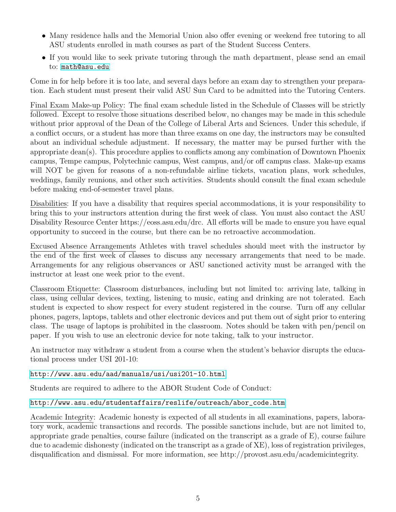- Many residence halls and the Memorial Union also offer evening or weekend free tutoring to all ASU students enrolled in math courses as part of the Student Success Centers.
- If you would like to seek private tutoring through the math department, please send an email to: <math@asu.edu>

Come in for help before it is too late, and several days before an exam day to strengthen your preparation. Each student must present their valid ASU Sun Card to be admitted into the Tutoring Centers.

Final Exam Make-up Policy: The final exam schedule listed in the Schedule of Classes will be strictly followed. Except to resolve those situations described below, no changes may be made in this schedule without prior approval of the Dean of the College of Liberal Arts and Sciences. Under this schedule, if a conflict occurs, or a student has more than three exams on one day, the instructors may be consulted about an individual schedule adjustment. If necessary, the matter may be pursed further with the appropriate dean(s). This procedure applies to conflicts among any combination of Downtown Phoenix campus, Tempe campus, Polytechnic campus, West campus, and/or off campus class. Make-up exams will NOT be given for reasons of a non-refundable airline tickets, vacation plans, work schedules, weddings, family reunions, and other such activities. Students should consult the final exam schedule before making end-of-semester travel plans.

Disabilities: If you have a disability that requires special accommodations, it is your responsibility to bring this to your instructors attention during the first week of class. You must also contact the ASU Disability Resource Center https://eoss.asu.edu/drc. All efforts will be made to ensure you have equal opportunity to succeed in the course, but there can be no retroactive accommodation.

Excused Absence Arrangements Athletes with travel schedules should meet with the instructor by the end of the first week of classes to discuss any necessary arrangements that need to be made. Arrangements for any religious observances or ASU sanctioned activity must be arranged with the instructor at least one week prior to the event.

Classroom Etiquette: Classroom disturbances, including but not limited to: arriving late, talking in class, using cellular devices, texting, listening to music, eating and drinking are not tolerated. Each student is expected to show respect for every student registered in the course. Turn off any cellular phones, pagers, laptops, tablets and other electronic devices and put them out of sight prior to entering class. The usage of laptops is prohibited in the classroom. Notes should be taken with pen/pencil on paper. If you wish to use an electronic device for note taking, talk to your instructor.

An instructor may withdraw a student from a course when the student's behavior disrupts the educational process under USI 201-10:

<http://www.asu.edu/aad/manuals/usi/usi201-10.html>

Students are required to adhere to the ABOR Student Code of Conduct:

## [http://www.asu.edu/studentaffairs/reslife/outreach/abor\\_code.htm](http://www.asu.edu/studentaffairs/reslife/outreach/abor_code.htm)

Academic Integrity: Academic honesty is expected of all students in all examinations, papers, laboratory work, academic transactions and records. The possible sanctions include, but are not limited to, appropriate grade penalties, course failure (indicated on the transcript as a grade of E), course failure due to academic dishonesty (indicated on the transcript as a grade of XE), loss of registration privileges, disqualification and dismissal. For more information, see http://provost.asu.edu/academicintegrity.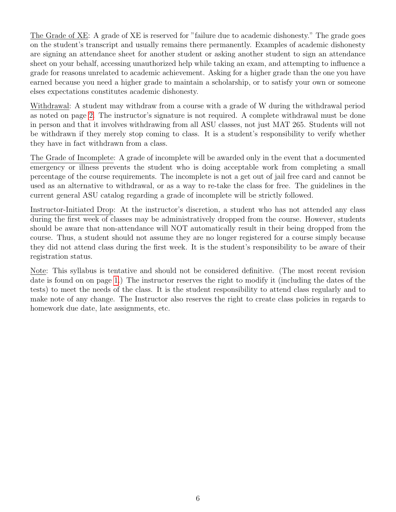The Grade of XE: A grade of XE is reserved for "failure due to academic dishonesty." The grade goes on the student's transcript and usually remains there permanently. Examples of academic dishonesty are signing an attendance sheet for another student or asking another student to sign an attendance sheet on your behalf, accessing unauthorized help while taking an exam, and attempting to influence a grade for reasons unrelated to academic achievement. Asking for a higher grade than the one you have earned because you need a higher grade to maintain a scholarship, or to satisfy your own or someone elses expectations constitutes academic dishonesty.

Withdrawal: A student may withdraw from a course with a grade of W during the withdrawal period as noted on page [2.](#page-0-0) The instructor's signature is not required. A complete withdrawal must be done in person and that it involves withdrawing from all ASU classes, not just MAT 265. Students will not be withdrawn if they merely stop coming to class. It is a student's responsibility to verify whether they have in fact withdrawn from a class.

The Grade of Incomplete: A grade of incomplete will be awarded only in the event that a documented emergency or illness prevents the student who is doing acceptable work from completing a small percentage of the course requirements. The incomplete is not a get out of jail free card and cannot be used as an alternative to withdrawal, or as a way to re-take the class for free. The guidelines in the current general ASU catalog regarding a grade of incomplete will be strictly followed.

Instructor-Initiated Drop: At the instructor's discretion, a student who has not attended any class during the first week of classes may be administratively dropped from the course. However, students should be aware that non-attendance will NOT automatically result in their being dropped from the course. Thus, a student should not assume they are no longer registered for a course simply because they did not attend class during the first week. It is the student's responsibility to be aware of their registration status.

Note: This syllabus is tentative and should not be considered definitive. (The most recent revision date is found on on page [1.](#page-0-0)) The instructor reserves the right to modify it (including the dates of the tests) to meet the needs of the class. It is the student responsibility to attend class regularly and to make note of any change. The Instructor also reserves the right to create class policies in regards to homework due date, late assignments, etc.